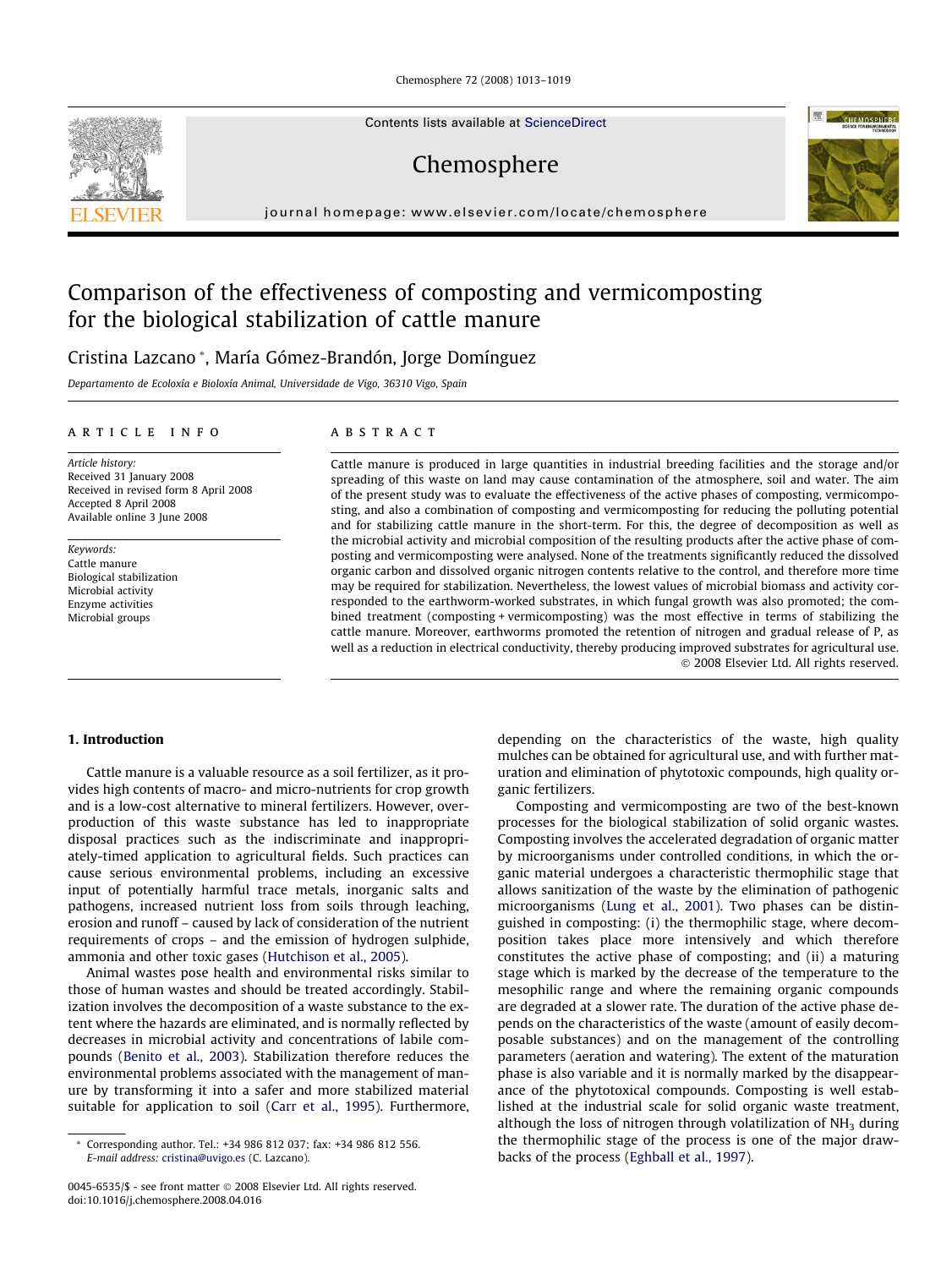Chemosphere 72 (2008) 1013–1019

Contents lists available at [ScienceDirect](http://www.sciencedirect.com/science/journal/00456535)

# Chemosphere

journal homepage: [www.elsevier.com/locate/chemosphere](http://www.elsevier.com/locate/chemosphere)

# Comparison of the effectiveness of composting and vermicomposting for the biological stabilization of cattle manure

Cristina Lazcano \*, María Gómez-Brandón, Jorge Domínguez

Departamento de Ecoloxía e Bioloxía Animal, Universidade de Vigo, 36310 Vigo, Spain

#### article info

Article history: Received 31 January 2008 Received in revised form 8 April 2008 Accepted 8 April 2008 Available online 3 June 2008

Keywords: Cattle manure Biological stabilization Microbial activity Enzyme activities Microbial groups

# **ABSTRACT**

Cattle manure is produced in large quantities in industrial breeding facilities and the storage and/or spreading of this waste on land may cause contamination of the atmosphere, soil and water. The aim of the present study was to evaluate the effectiveness of the active phases of composting, vermicomposting, and also a combination of composting and vermicomposting for reducing the polluting potential and for stabilizing cattle manure in the short-term. For this, the degree of decomposition as well as the microbial activity and microbial composition of the resulting products after the active phase of composting and vermicomposting were analysed. None of the treatments significantly reduced the dissolved organic carbon and dissolved organic nitrogen contents relative to the control, and therefore more time may be required for stabilization. Nevertheless, the lowest values of microbial biomass and activity corresponded to the earthworm-worked substrates, in which fungal growth was also promoted; the combined treatment (composting + vermicomposting) was the most effective in terms of stabilizing the cattle manure. Moreover, earthworms promoted the retention of nitrogen and gradual release of P, as well as a reduction in electrical conductivity, thereby producing improved substrates for agricultural use. - 2008 Elsevier Ltd. All rights reserved.

## 1. Introduction

Cattle manure is a valuable resource as a soil fertilizer, as it provides high contents of macro- and micro-nutrients for crop growth and is a low-cost alternative to mineral fertilizers. However, overproduction of this waste substance has led to inappropriate disposal practices such as the indiscriminate and inappropriately-timed application to agricultural fields. Such practices can cause serious environmental problems, including an excessive input of potentially harmful trace metals, inorganic salts and pathogens, increased nutrient loss from soils through leaching, erosion and runoff – caused by lack of consideration of the nutrient requirements of crops – and the emission of hydrogen sulphide, ammonia and other toxic gases ([Hutchison et al., 2005\)](#page-6-0).

Animal wastes pose health and environmental risks similar to those of human wastes and should be treated accordingly. Stabilization involves the decomposition of a waste substance to the extent where the hazards are eliminated, and is normally reflected by decreases in microbial activity and concentrations of labile compounds [\(Benito et al., 2003\)](#page-6-0). Stabilization therefore reduces the environmental problems associated with the management of manure by transforming it into a safer and more stabilized material suitable for application to soil ([Carr et al., 1995\)](#page-6-0). Furthermore,

depending on the characteristics of the waste, high quality mulches can be obtained for agricultural use, and with further maturation and elimination of phytotoxic compounds, high quality organic fertilizers.

Composting and vermicomposting are two of the best-known processes for the biological stabilization of solid organic wastes. Composting involves the accelerated degradation of organic matter by microorganisms under controlled conditions, in which the organic material undergoes a characteristic thermophilic stage that allows sanitization of the waste by the elimination of pathogenic microorganisms ([Lung et al., 2001\)](#page-6-0). Two phases can be distinguished in composting: (i) the thermophilic stage, where decomposition takes place more intensively and which therefore constitutes the active phase of composting; and (ii) a maturing stage which is marked by the decrease of the temperature to the mesophilic range and where the remaining organic compounds are degraded at a slower rate. The duration of the active phase depends on the characteristics of the waste (amount of easily decomposable substances) and on the management of the controlling parameters (aeration and watering). The extent of the maturation phase is also variable and it is normally marked by the disappearance of the phytotoxical compounds. Composting is well established at the industrial scale for solid organic waste treatment, although the loss of nitrogen through volatilization of  $NH<sub>3</sub>$  during the thermophilic stage of the process is one of the major drawbacks of the process [\(Eghball et al., 1997\)](#page-6-0).





Corresponding author. Tel.: +34 986 812 037; fax: +34 986 812 556. E-mail address: [cristina@uvigo.es](mailto:cristina@uvigo.es) (C. Lazcano).

<sup>0045-6535/\$ -</sup> see front matter © 2008 Elsevier Ltd. All rights reserved. doi:10.1016/j.chemosphere.2008.04.016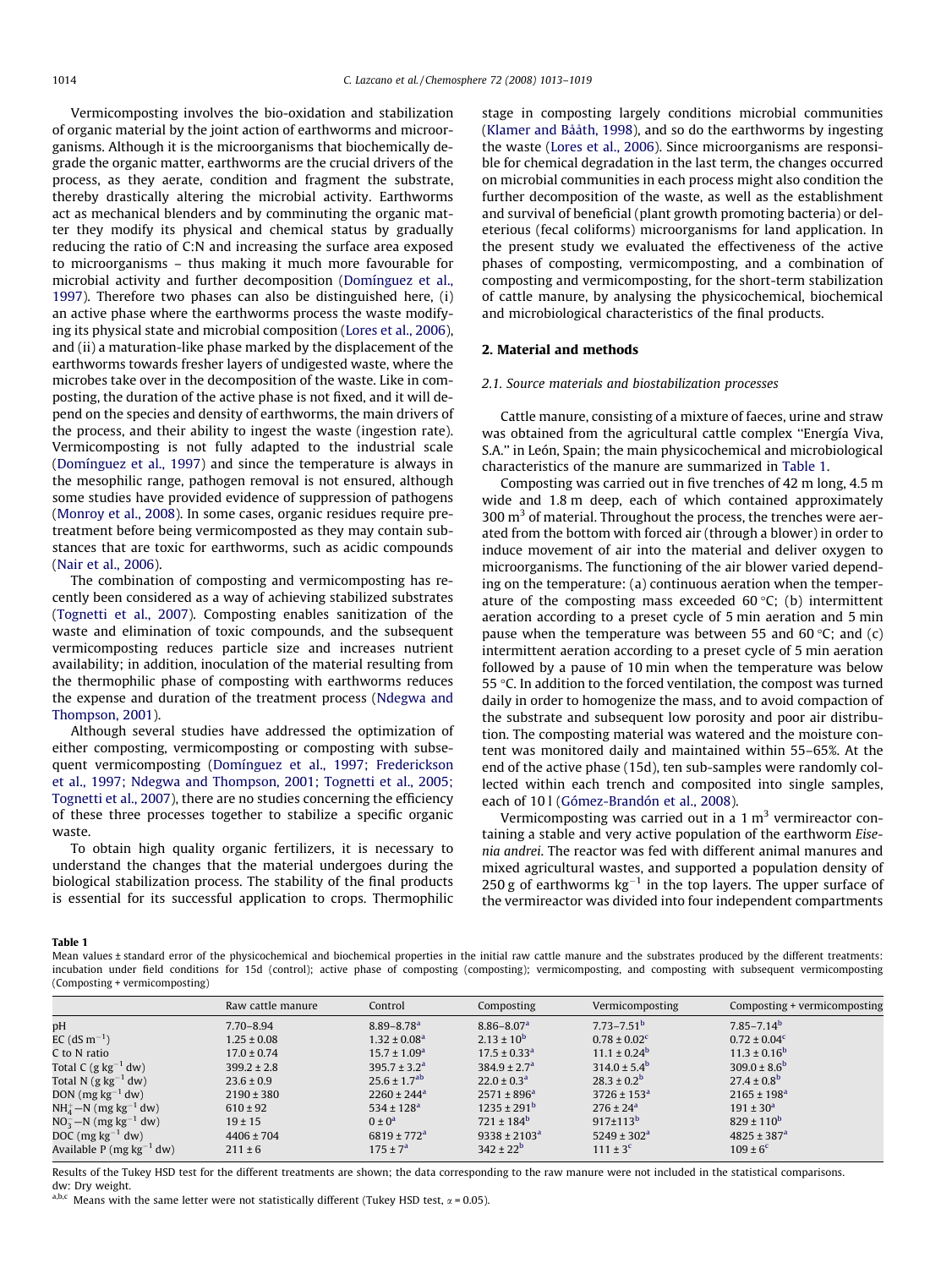<span id="page-1-0"></span>Vermicomposting involves the bio-oxidation and stabilization of organic material by the joint action of earthworms and microorganisms. Although it is the microorganisms that biochemically degrade the organic matter, earthworms are the crucial drivers of the process, as they aerate, condition and fragment the substrate, thereby drastically altering the microbial activity. Earthworms act as mechanical blenders and by comminuting the organic matter they modify its physical and chemical status by gradually reducing the ratio of C:N and increasing the surface area exposed to microorganisms – thus making it much more favourable for microbial activity and further decomposition [\(Domínguez et al.,](#page-6-0) [1997\)](#page-6-0). Therefore two phases can also be distinguished here, (i) an active phase where the earthworms process the waste modifying its physical state and microbial composition [\(Lores et al., 2006\)](#page-6-0), and (ii) a maturation-like phase marked by the displacement of the earthworms towards fresher layers of undigested waste, where the microbes take over in the decomposition of the waste. Like in composting, the duration of the active phase is not fixed, and it will depend on the species and density of earthworms, the main drivers of the process, and their ability to ingest the waste (ingestion rate). Vermicomposting is not fully adapted to the industrial scale ([Domínguez et al., 1997\)](#page-6-0) and since the temperature is always in the mesophilic range, pathogen removal is not ensured, although some studies have provided evidence of suppression of pathogens ([Monroy et al., 2008\)](#page-6-0). In some cases, organic residues require pretreatment before being vermicomposted as they may contain substances that are toxic for earthworms, such as acidic compounds ([Nair et al., 2006\)](#page-6-0).

The combination of composting and vermicomposting has recently been considered as a way of achieving stabilized substrates ([Tognetti et al., 2007\)](#page-6-0). Composting enables sanitization of the waste and elimination of toxic compounds, and the subsequent vermicomposting reduces particle size and increases nutrient availability; in addition, inoculation of the material resulting from the thermophilic phase of composting with earthworms reduces the expense and duration of the treatment process ([Ndegwa and](#page-6-0) [Thompson, 2001\)](#page-6-0).

Although several studies have addressed the optimization of either composting, vermicomposting or composting with subsequent vermicomposting [\(Domínguez et al., 1997; Frederickson](#page-6-0) [et al., 1997; Ndegwa and Thompson, 2001; Tognetti et al., 2005;](#page-6-0) [Tognetti et al., 2007\)](#page-6-0), there are no studies concerning the efficiency of these three processes together to stabilize a specific organic waste.

To obtain high quality organic fertilizers, it is necessary to understand the changes that the material undergoes during the biological stabilization process. The stability of the final products is essential for its successful application to crops. Thermophilic stage in composting largely conditions microbial communities ([Klamer and Bååth, 1998](#page-6-0)), and so do the earthworms by ingesting the waste ([Lores et al., 2006](#page-6-0)). Since microorganisms are responsible for chemical degradation in the last term, the changes occurred on microbial communities in each process might also condition the further decomposition of the waste, as well as the establishment and survival of beneficial (plant growth promoting bacteria) or deleterious (fecal coliforms) microorganisms for land application. In the present study we evaluated the effectiveness of the active phases of composting, vermicomposting, and a combination of composting and vermicomposting, for the short-term stabilization of cattle manure, by analysing the physicochemical, biochemical and microbiological characteristics of the final products.

# 2. Material and methods

## 2.1. Source materials and biostabilization processes

Cattle manure, consisting of a mixture of faeces, urine and straw was obtained from the agricultural cattle complex ''Energía Viva, S.A.'' in León, Spain; the main physicochemical and microbiological characteristics of the manure are summarized in Table 1.

Composting was carried out in five trenches of 42 m long, 4.5 m wide and 1.8 m deep, each of which contained approximately 300  $\mathrm{m}^3$  of material. Throughout the process, the trenches were aerated from the bottom with forced air (through a blower) in order to induce movement of air into the material and deliver oxygen to microorganisms. The functioning of the air blower varied depending on the temperature: (a) continuous aeration when the temperature of the composting mass exceeded 60 °C; (b) intermittent aeration according to a preset cycle of 5 min aeration and 5 min pause when the temperature was between 55 and 60 °C; and  $(c)$ intermittent aeration according to a preset cycle of 5 min aeration followed by a pause of 10 min when the temperature was below 55  $\degree$ C. In addition to the forced ventilation, the compost was turned daily in order to homogenize the mass, and to avoid compaction of the substrate and subsequent low porosity and poor air distribution. The composting material was watered and the moisture content was monitored daily and maintained within 55–65%. At the end of the active phase (15d), ten sub-samples were randomly collected within each trench and composited into single samples, each of 10 l [\(Gómez-Brandón et al., 2008](#page-6-0)).

Vermicomposting was carried out in a  $1 \text{ m}^3$  vermireactor containing a stable and very active population of the earthworm Eisenia andrei. The reactor was fed with different animal manures and mixed agricultural wastes, and supported a population density of 250 g of earthworms  $kg^{-1}$  in the top layers. The upper surface of the vermireactor was divided into four independent compartments

#### Table 1

Mean values ± standard error of the physicochemical and biochemical properties in the initial raw cattle manure and the substrates produced by the different treatments: incubation under field conditions for 15d (control); active phase of composting (composting); vermicomposting, and composting with subsequent vermicomposting (Composting + vermicomposting)

|                                       | Raw cattle manure | Control                      | Composting                   | Vermicomposting           | Composting + vermicomposting |
|---------------------------------------|-------------------|------------------------------|------------------------------|---------------------------|------------------------------|
| pH                                    | $7.70 - 8.94$     | $8.89 - 8.78$ <sup>a</sup>   | $8.86 - 8.07a$               | $7.73 - 7.51^b$           | $7.85 - 7.14b$               |
| EC (dS $m^{-1}$ )                     | $1.25 \pm 0.08$   | $1.32 \pm 0.08^a$            | $2.13 \pm 10^{6}$            | $0.78 \pm 0.02^{\circ}$   | $0.72 \pm 0.04^c$            |
| C to N ratio                          | $17.0 \pm 0.74$   | $15.7 \pm 1.09^{\rm a}$      | $17.5 \pm 0.33$ <sup>a</sup> | $11.1 \pm 0.24^b$         | $11.3 \pm 0.16^{\rm b}$      |
| Total C (g $kg^{-1}$ dw)              | $399.2 \pm 2.8$   | $395.7 \pm 3.2^a$            | $384.9 \pm 2.7^a$            | $314.0 \pm 5.4^{\rm b}$   | $309.0 \pm 8.6^{\rm b}$      |
| Total N (g $kg^{-1}$ dw)              | $23.6 \pm 0.9$    | $25.6 \pm 1.7$ <sup>ab</sup> | $22.0 \pm 0.3^a$             | $28.3 \pm 0.2^{\rm b}$    | $27.4 \pm 0.8^{\rm b}$       |
| DON ( $mg\ kg^{-1}$ dw)               | $2190 \pm 380$    | $2260 \pm 244$ <sup>a</sup>  | $2571 \pm 896^a$             | $3726 \pm 153^a$          | $2165 \pm 198^a$             |
| $NH4+ - N$ (mg kg <sup>-1</sup> dw)   | $610 \pm 92$      | $534 \pm 128^a$              | $1235 \pm 291^{\rm b}$       | $276 \pm 24$ <sup>a</sup> | $191 \pm 30^a$               |
| $NO_3^- - N$ (mg kg <sup>-1</sup> dw) | $19 \pm 15$       | $0 \pm 0^a$                  | $721 \pm 184^b$              | $917 \pm 113^b$           | $829 \pm 110^6$              |
| DOC (mg $kg^{-1}$ dw)                 | $4406 \pm 704$    | $6819 \pm 772$ <sup>a</sup>  | $9338 \pm 2103^a$            | $5249 \pm 302^a$          | $4825 \pm 387$ <sup>a</sup>  |
| Available P (mg $kg^{-1}$ dw)         | $211 \pm 6$       | $175 \pm 7^{\rm a}$          | $342 \pm 22^b$               | $111 \pm 3^c$             | $109 \pm 6^{\circ}$          |
|                                       |                   |                              |                              |                           |                              |

Results of the Tukey HSD test for the different treatments are shown; the data corresponding to the raw manure were not included in the statistical comparisons. dw: Dry weight.

a,b,c Means with the same letter were not statistically different (Tukey HSD test,  $\alpha$  = 0.05).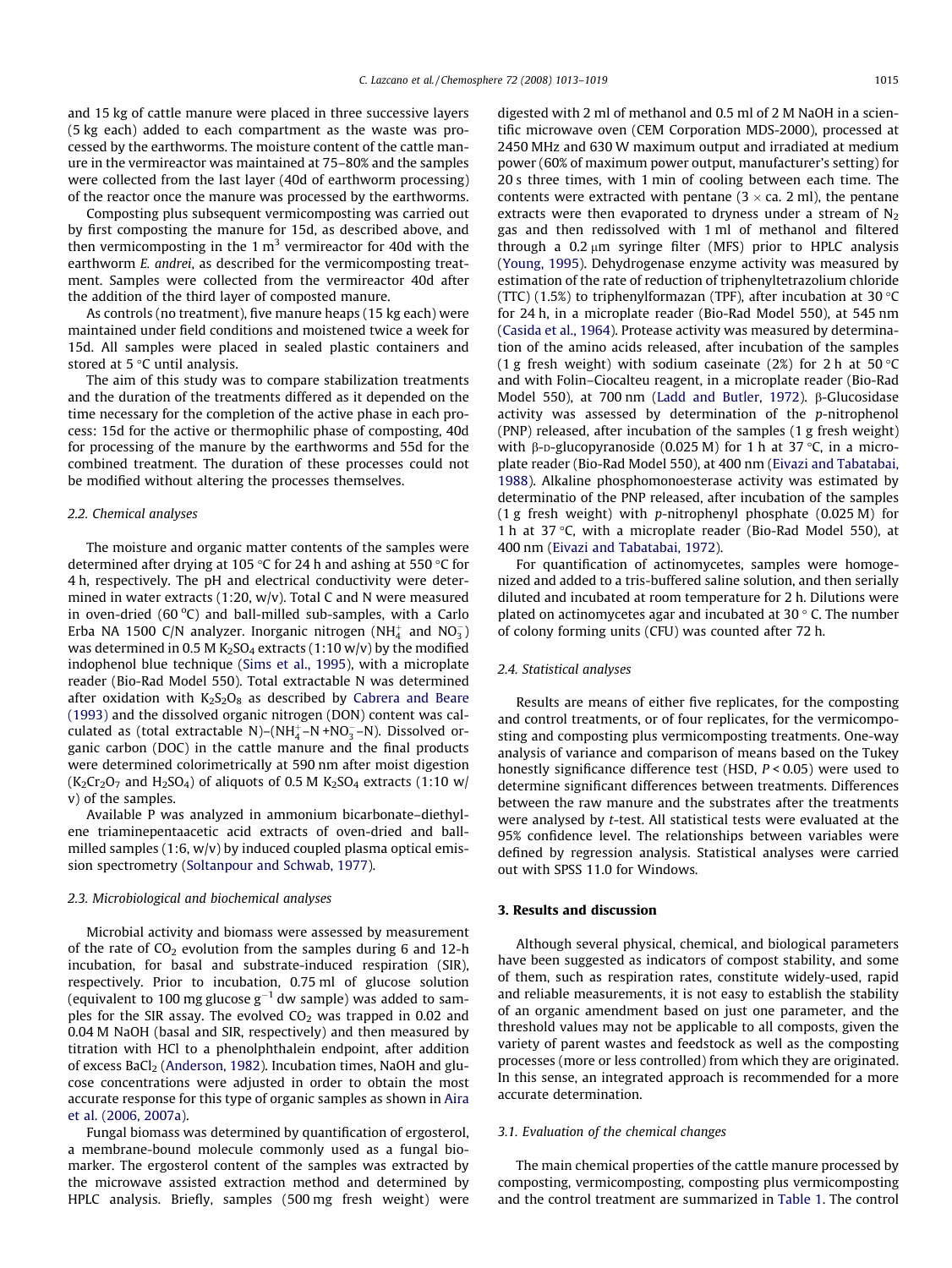and 15 kg of cattle manure were placed in three successive layers (5 kg each) added to each compartment as the waste was processed by the earthworms. The moisture content of the cattle manure in the vermireactor was maintained at 75–80% and the samples were collected from the last layer (40d of earthworm processing) of the reactor once the manure was processed by the earthworms.

Composting plus subsequent vermicomposting was carried out by first composting the manure for 15d, as described above, and then vermicomposting in the 1  $m<sup>3</sup>$  vermireactor for 40d with the earthworm E. andrei, as described for the vermicomposting treatment. Samples were collected from the vermireactor 40d after the addition of the third layer of composted manure.

As controls (no treatment), five manure heaps (15 kg each) were maintained under field conditions and moistened twice a week for 15d. All samples were placed in sealed plastic containers and stored at  $5^{\circ}$ C until analysis.

The aim of this study was to compare stabilization treatments and the duration of the treatments differed as it depended on the time necessary for the completion of the active phase in each process: 15d for the active or thermophilic phase of composting, 40d for processing of the manure by the earthworms and 55d for the combined treatment. The duration of these processes could not be modified without altering the processes themselves.

#### 2.2. Chemical analyses

The moisture and organic matter contents of the samples were determined after drying at 105 °C for 24 h and ashing at 550 °C for 4 h, respectively. The pH and electrical conductivity were determined in water extracts (1:20, w/v). Total C and N were measured in oven-dried  $(60 °C)$  and ball-milled sub-samples, with a Carlo Erba NA 1500 C/N analyzer. Inorganic nitrogen (NH $_4^+$  and NO<sub>3</sub>) was determined in 0.5 M K<sub>2</sub>SO<sub>4</sub> extracts (1:10 w/v) by the modified indophenol blue technique [\(Sims et al., 1995\)](#page-6-0), with a microplate reader (Bio-Rad Model 550). Total extractable N was determined after oxidation with  $K_2S_2O_8$  as described by [Cabrera and Beare](#page-6-0) [\(1993\)](#page-6-0) and the dissolved organic nitrogen (DON) content was calculated as (total extractable N)–( $NH_4^+$ –N +NO<sub>3</sub>–N). Dissolved organic carbon (DOC) in the cattle manure and the final products were determined colorimetrically at 590 nm after moist digestion  $(K_2Cr_2O_7$  and  $H_2SO_4$ ) of aliquots of 0.5 M  $K_2SO_4$  extracts (1:10 w/ v) of the samples.

Available P was analyzed in ammonium bicarbonate–diethylene triaminepentaacetic acid extracts of oven-dried and ballmilled samples  $(1:6, w/v)$  by induced coupled plasma optical emission spectrometry ([Soltanpour and Schwab, 1977](#page-6-0)).

# 2.3. Microbiological and biochemical analyses

Microbial activity and biomass were assessed by measurement of the rate of  $CO<sub>2</sub>$  evolution from the samples during 6 and 12-h incubation, for basal and substrate-induced respiration (SIR), respectively. Prior to incubation, 0.75 ml of glucose solution (equivalent to 100 mg glucose  $\rm g^{-1}$  dw sample) was added to samples for the SIR assay. The evolved  $CO<sub>2</sub>$  was trapped in 0.02 and 0.04 M NaOH (basal and SIR, respectively) and then measured by titration with HCl to a phenolphthalein endpoint, after addition of excess BaCl<sub>2</sub> ([Anderson, 1982\)](#page-6-0). Incubation times, NaOH and glucose concentrations were adjusted in order to obtain the most accurate response for this type of organic samples as shown in [Aira](#page-6-0) [et al. \(2006, 2007a\)](#page-6-0).

Fungal biomass was determined by quantification of ergosterol, a membrane-bound molecule commonly used as a fungal biomarker. The ergosterol content of the samples was extracted by the microwave assisted extraction method and determined by HPLC analysis. Briefly, samples (500 mg fresh weight) were digested with 2 ml of methanol and 0.5 ml of 2 M NaOH in a scientific microwave oven (CEM Corporation MDS-2000), processed at 2450 MHz and 630 W maximum output and irradiated at medium power (60% of maximum power output, manufacturer's setting) for 20 s three times, with 1 min of cooling between each time. The contents were extracted with pentane  $(3 \times ca. 2 ml)$ , the pentane extracts were then evaporated to dryness under a stream of  $N_2$ gas and then redissolved with 1 ml of methanol and filtered through a  $0.2 \mu m$  syringe filter (MFS) prior to HPLC analysis ([Young, 1995](#page-6-0)). Dehydrogenase enzyme activity was measured by estimation of the rate of reduction of triphenyltetrazolium chloride (TTC) (1.5%) to triphenylformazan (TPF), after incubation at 30  $\degree$ C for 24 h, in a microplate reader (Bio-Rad Model 550), at 545 nm ([Casida et al., 1964\)](#page-6-0). Protease activity was measured by determination of the amino acids released, after incubation of the samples (1 g fresh weight) with sodium caseinate (2%) for 2 h at 50  $\degree$ C and with Folin–Ciocalteu reagent, in a microplate reader (Bio-Rad Model 550), at 700 nm [\(Ladd and Butler, 1972](#page-6-0)). β-Glucosidase activity was assessed by determination of the p-nitrophenol (PNP) released, after incubation of the samples (1 g fresh weight) with  $\beta$ -D-glucopyranoside (0.025 M) for 1 h at 37 °C, in a microplate reader (Bio-Rad Model 550), at 400 nm ([Eivazi and Tabatabai,](#page-6-0) [1988\)](#page-6-0). Alkaline phosphomonoesterase activity was estimated by determinatio of the PNP released, after incubation of the samples (1 g fresh weight) with p-nitrophenyl phosphate (0.025 M) for 1 h at 37  $\degree$ C, with a microplate reader (Bio-Rad Model 550), at 400 nm ([Eivazi and Tabatabai, 1972\)](#page-6-0).

For quantification of actinomycetes, samples were homogenized and added to a tris-buffered saline solution, and then serially diluted and incubated at room temperature for 2 h. Dilutions were plated on actinomycetes agar and incubated at  $30^{\circ}$  C. The number of colony forming units (CFU) was counted after 72 h.

#### 2.4. Statistical analyses

Results are means of either five replicates, for the composting and control treatments, or of four replicates, for the vermicomposting and composting plus vermicomposting treatments. One-way analysis of variance and comparison of means based on the Tukey honestly significance difference test (HSD,  $P < 0.05$ ) were used to determine significant differences between treatments. Differences between the raw manure and the substrates after the treatments were analysed by t-test. All statistical tests were evaluated at the 95% confidence level. The relationships between variables were defined by regression analysis. Statistical analyses were carried out with SPSS 11.0 for Windows.

# 3. Results and discussion

Although several physical, chemical, and biological parameters have been suggested as indicators of compost stability, and some of them, such as respiration rates, constitute widely-used, rapid and reliable measurements, it is not easy to establish the stability of an organic amendment based on just one parameter, and the threshold values may not be applicable to all composts, given the variety of parent wastes and feedstock as well as the composting processes (more or less controlled) from which they are originated. In this sense, an integrated approach is recommended for a more accurate determination.

## 3.1. Evaluation of the chemical changes

The main chemical properties of the cattle manure processed by composting, vermicomposting, composting plus vermicomposting and the control treatment are summarized in [Table 1.](#page-1-0) The control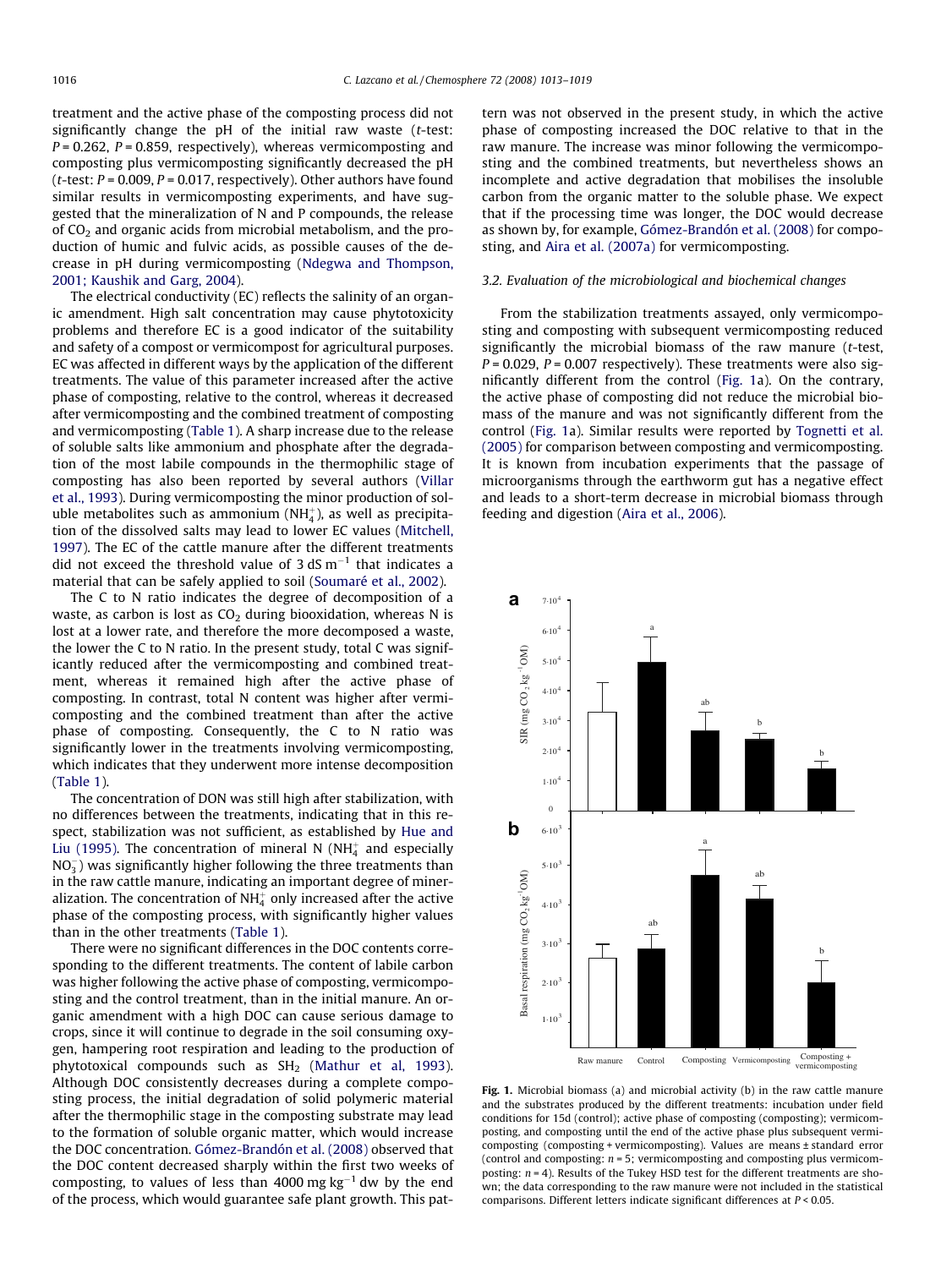<span id="page-3-0"></span>treatment and the active phase of the composting process did not significantly change the pH of the initial raw waste (t-test:  $P = 0.262$ ,  $P = 0.859$ , respectively), whereas vermicomposting and composting plus vermicomposting significantly decreased the pH ( $t$ -test:  $P = 0.009$ ,  $P = 0.017$ , respectively). Other authors have found similar results in vermicomposting experiments, and have suggested that the mineralization of N and P compounds, the release of  $CO<sub>2</sub>$  and organic acids from microbial metabolism, and the production of humic and fulvic acids, as possible causes of the decrease in pH during vermicomposting [\(Ndegwa and Thompson,](#page-6-0) [2001; Kaushik and Garg, 2004\)](#page-6-0).

The electrical conductivity (EC) reflects the salinity of an organic amendment. High salt concentration may cause phytotoxicity problems and therefore EC is a good indicator of the suitability and safety of a compost or vermicompost for agricultural purposes. EC was affected in different ways by the application of the different treatments. The value of this parameter increased after the active phase of composting, relative to the control, whereas it decreased after vermicomposting and the combined treatment of composting and vermicomposting ([Table 1](#page-1-0)). A sharp increase due to the release of soluble salts like ammonium and phosphate after the degradation of the most labile compounds in the thermophilic stage of composting has also been reported by several authors [\(Villar](#page-6-0) [et al., 1993\)](#page-6-0). During vermicomposting the minor production of soluble metabolites such as ammonium (NH $_4^{\scriptscriptstyle +}$ ), as well as precipitation of the dissolved salts may lead to lower EC values ([Mitchell,](#page-6-0) [1997\)](#page-6-0). The EC of the cattle manure after the different treatments did not exceed the threshold value of 3 dS  $m^{-1}$  that indicates a material that can be safely applied to soil ([Soumaré et al., 2002\)](#page-6-0).

The C to N ratio indicates the degree of decomposition of a waste, as carbon is lost as  $CO<sub>2</sub>$  during biooxidation, whereas N is lost at a lower rate, and therefore the more decomposed a waste, the lower the C to N ratio. In the present study, total C was significantly reduced after the vermicomposting and combined treatment, whereas it remained high after the active phase of composting. In contrast, total N content was higher after vermicomposting and the combined treatment than after the active phase of composting. Consequently, the C to N ratio was significantly lower in the treatments involving vermicomposting, which indicates that they underwent more intense decomposition ([Table 1](#page-1-0)).

The concentration of DON was still high after stabilization, with no differences between the treatments, indicating that in this respect, stabilization was not sufficient, as established by [Hue and](#page-6-0) [Liu \(1995\).](#page-6-0) The concentration of mineral N (NH $_4^+$  and especially  $NO_3^-$ ) was significantly higher following the three treatments than in the raw cattle manure, indicating an important degree of mineralization. The concentration of NH $_4^+$  only increased after the active phase of the composting process, with significantly higher values than in the other treatments [\(Table 1](#page-1-0)).

There were no significant differences in the DOC contents corresponding to the different treatments. The content of labile carbon was higher following the active phase of composting, vermicomposting and the control treatment, than in the initial manure. An organic amendment with a high DOC can cause serious damage to crops, since it will continue to degrade in the soil consuming oxygen, hampering root respiration and leading to the production of phytotoxical compounds such as  $SH<sub>2</sub>$  [\(Mathur et al, 1993\)](#page-6-0). Although DOC consistently decreases during a complete composting process, the initial degradation of solid polymeric material after the thermophilic stage in the composting substrate may lead to the formation of soluble organic matter, which would increase the DOC concentration. [Gómez-Brandón et al. \(2008\)](#page-6-0) observed that the DOC content decreased sharply within the first two weeks of composting, to values of less than 4000 mg  $\text{kg}^{-1}$  dw by the end of the process, which would guarantee safe plant growth. This pattern was not observed in the present study, in which the active phase of composting increased the DOC relative to that in the raw manure. The increase was minor following the vermicomposting and the combined treatments, but nevertheless shows an incomplete and active degradation that mobilises the insoluble carbon from the organic matter to the soluble phase. We expect that if the processing time was longer, the DOC would decrease as shown by, for example, [Gómez-Brandón et al. \(2008\)](#page-6-0) for composting, and [Aira et al. \(2007a\)](#page-6-0) for vermicomposting.

## 3.2. Evaluation of the microbiological and biochemical changes

From the stabilization treatments assayed, only vermicomposting and composting with subsequent vermicomposting reduced significantly the microbial biomass of the raw manure (t-test,  $P = 0.029$ ,  $P = 0.007$  respectively). These treatments were also significantly different from the control (Fig. 1a). On the contrary, the active phase of composting did not reduce the microbial biomass of the manure and was not significantly different from the control (Fig. 1a). Similar results were reported by [Tognetti et al.](#page-6-0) [\(2005\)](#page-6-0) for comparison between composting and vermicomposting. It is known from incubation experiments that the passage of microorganisms through the earthworm gut has a negative effect and leads to a short-term decrease in microbial biomass through feeding and digestion [\(Aira et al., 2006\)](#page-6-0).



Fig. 1. Microbial biomass (a) and microbial activity (b) in the raw cattle manure and the substrates produced by the different treatments: incubation under field conditions for 15d (control); active phase of composting (composting); vermicomposting, and composting until the end of the active phase plus subsequent vermicomposting (composting + vermicomposting). Values are means ± standard error (control and composting:  $n = 5$ ; vermicomposting and composting plus vermicomposting:  $n = 4$ ). Results of the Tukey HSD test for the different treatments are shown; the data corresponding to the raw manure were not included in the statistical comparisons. Different letters indicate significant differences at P < 0.05.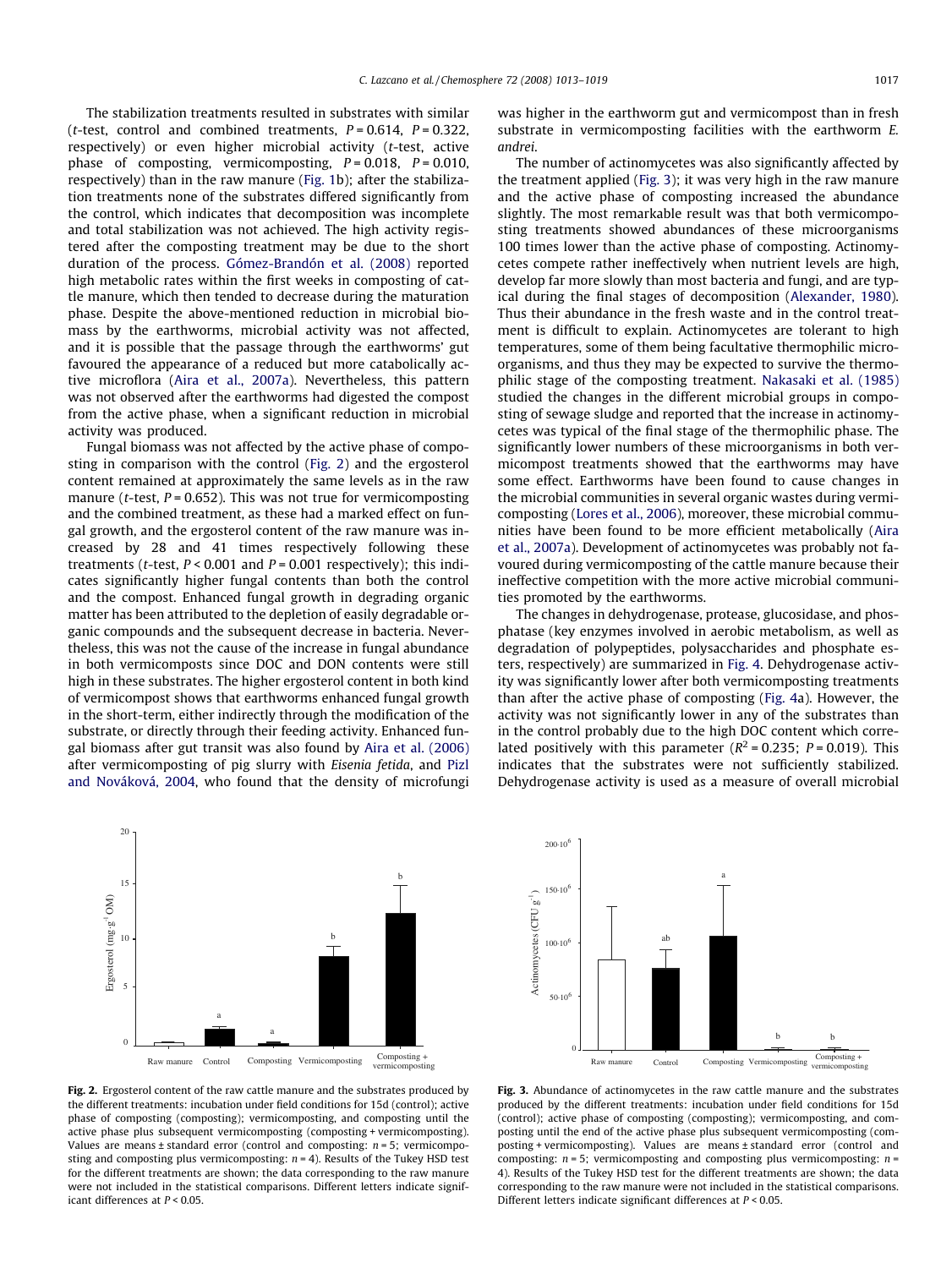The stabilization treatments resulted in substrates with similar (*t*-test, control and combined treatments,  $P = 0.614$ ,  $P = 0.322$ , respectively) or even higher microbial activity (t-test, active phase of composting, vermicomposting,  $P = 0.018$ ,  $P = 0.010$ , respectively) than in the raw manure [\(Fig. 1b](#page-3-0)); after the stabilization treatments none of the substrates differed significantly from the control, which indicates that decomposition was incomplete and total stabilization was not achieved. The high activity registered after the composting treatment may be due to the short duration of the process. [Gómez-Brandón et al. \(2008\)](#page-6-0) reported high metabolic rates within the first weeks in composting of cattle manure, which then tended to decrease during the maturation phase. Despite the above-mentioned reduction in microbial biomass by the earthworms, microbial activity was not affected, and it is possible that the passage through the earthworms' gut favoured the appearance of a reduced but more catabolically active microflora [\(Aira et al., 2007a\)](#page-6-0). Nevertheless, this pattern was not observed after the earthworms had digested the compost from the active phase, when a significant reduction in microbial activity was produced.

Fungal biomass was not affected by the active phase of composting in comparison with the control (Fig. 2) and the ergosterol content remained at approximately the same levels as in the raw manure (*t*-test,  $P = 0.652$ ). This was not true for vermicomposting and the combined treatment, as these had a marked effect on fungal growth, and the ergosterol content of the raw manure was increased by 28 and 41 times respectively following these treatments (*t*-test,  $P < 0.001$  and  $P = 0.001$  respectively); this indicates significantly higher fungal contents than both the control and the compost. Enhanced fungal growth in degrading organic matter has been attributed to the depletion of easily degradable organic compounds and the subsequent decrease in bacteria. Nevertheless, this was not the cause of the increase in fungal abundance in both vermicomposts since DOC and DON contents were still high in these substrates. The higher ergosterol content in both kind of vermicompost shows that earthworms enhanced fungal growth in the short-term, either indirectly through the modification of the substrate, or directly through their feeding activity. Enhanced fungal biomass after gut transit was also found by [Aira et al. \(2006\)](#page-6-0) after vermicomposting of pig slurry with Eisenia fetida, and [Pizl](#page-6-0) [and Nováková, 2004](#page-6-0), who found that the density of microfungi

20 b 15 Ergosterol (mg-g<sup>-1</sup>OM) Ergosterol (mg·g<sup>-1</sup>OM) b 10 5 a a  $\theta$ Raw manure Control Composting Vermicomposting Composting +

Fig. 2. Ergosterol content of the raw cattle manure and the substrates produced by the different treatments: incubation under field conditions for 15d (control); active phase of composting (composting); vermicomposting, and composting until the active phase plus subsequent vermicomposting (composting + vermicomposting). Values are means  $\pm$  standard error (control and composting:  $n = 5$ ; vermicomposting and composting plus vermicomposting:  $n = 4$ ). Results of the Tukey HSD test for the different treatments are shown; the data corresponding to the raw manure were not included in the statistical comparisons. Different letters indicate significant differences at P < 0.05.

was higher in the earthworm gut and vermicompost than in fresh substrate in vermicomposting facilities with the earthworm E. andrei.

The number of actinomycetes was also significantly affected by the treatment applied (Fig. 3); it was very high in the raw manure and the active phase of composting increased the abundance slightly. The most remarkable result was that both vermicomposting treatments showed abundances of these microorganisms 100 times lower than the active phase of composting. Actinomycetes compete rather ineffectively when nutrient levels are high, develop far more slowly than most bacteria and fungi, and are typical during the final stages of decomposition ([Alexander, 1980\)](#page-6-0). Thus their abundance in the fresh waste and in the control treatment is difficult to explain. Actinomycetes are tolerant to high temperatures, some of them being facultative thermophilic microorganisms, and thus they may be expected to survive the thermophilic stage of the composting treatment. [Nakasaki et al. \(1985\)](#page-6-0) studied the changes in the different microbial groups in composting of sewage sludge and reported that the increase in actinomycetes was typical of the final stage of the thermophilic phase. The significantly lower numbers of these microorganisms in both vermicompost treatments showed that the earthworms may have some effect. Earthworms have been found to cause changes in the microbial communities in several organic wastes during vermicomposting ([Lores et al., 2006](#page-6-0)), moreover, these microbial communities have been found to be more efficient metabolically [\(Aira](#page-6-0) [et al., 2007a](#page-6-0)). Development of actinomycetes was probably not favoured during vermicomposting of the cattle manure because their ineffective competition with the more active microbial communities promoted by the earthworms.

The changes in dehydrogenase, protease, glucosidase, and phosphatase (key enzymes involved in aerobic metabolism, as well as degradation of polypeptides, polysaccharides and phosphate esters, respectively) are summarized in [Fig. 4.](#page-5-0) Dehydrogenase activity was significantly lower after both vermicomposting treatments than after the active phase of composting [\(Fig. 4](#page-5-0)a). However, the activity was not significantly lower in any of the substrates than in the control probably due to the high DOC content which correlated positively with this parameter ( $R^2$  = 0.235; P = 0.019). This indicates that the substrates were not sufficiently stabilized. Dehydrogenase activity is used as a measure of overall microbial



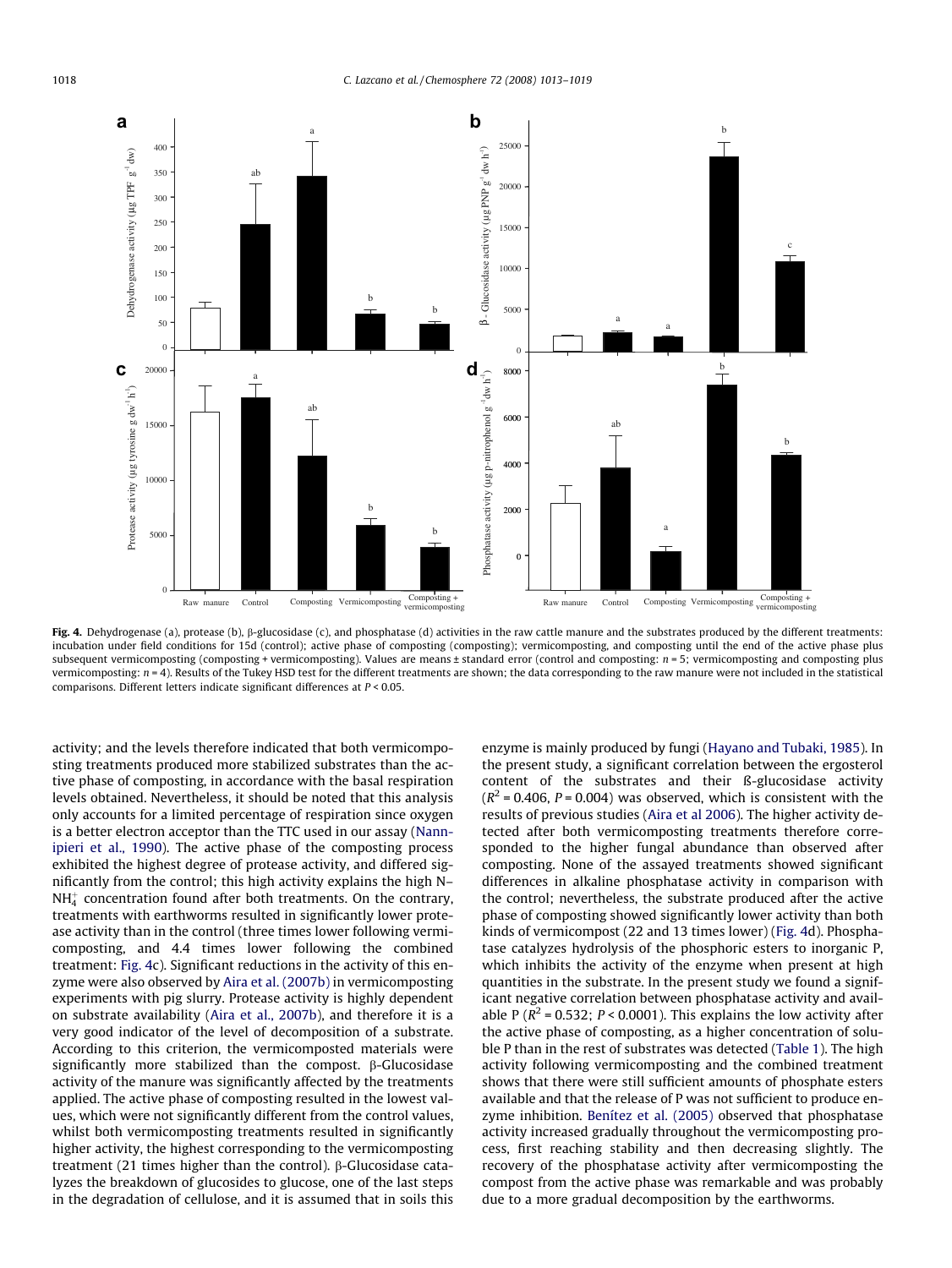<span id="page-5-0"></span>

Fig. 4. Dehydrogenase (a), protease (b),  $\beta$ -glucosidase (c), and phosphatase (d) activities in the raw cattle manure and the substrates produced by the different treatments: incubation under field conditions for 15d (control); active phase of composting (composting); vermicomposting, and composting until the end of the active phase plus subsequent vermicomposting (composting + vermicomposting). Values are means ± standard error (control and composting:  $n = 5$ ; vermicomposting and composting plus vermicomposting: n = 4). Results of the Tukey HSD test for the different treatments are shown; the data corresponding to the raw manure were not included in the statistical comparisons. Different letters indicate significant differences at P < 0.05.

activity; and the levels therefore indicated that both vermicomposting treatments produced more stabilized substrates than the active phase of composting, in accordance with the basal respiration levels obtained. Nevertheless, it should be noted that this analysis only accounts for a limited percentage of respiration since oxygen is a better electron acceptor than the TTC used in our assay [\(Nann](#page-6-0)[ipieri et al., 1990](#page-6-0)). The active phase of the composting process exhibited the highest degree of protease activity, and differed significantly from the control; this high activity explains the high N–  $\mathrm{NH}_4^+$  concentration found after both treatments. On the contrary, treatments with earthworms resulted in significantly lower protease activity than in the control (three times lower following vermicomposting, and 4.4 times lower following the combined treatment: Fig. 4c). Significant reductions in the activity of this enzyme were also observed by [Aira et al. \(2007b\)](#page-6-0) in vermicomposting experiments with pig slurry. Protease activity is highly dependent on substrate availability ([Aira et al., 2007b](#page-6-0)), and therefore it is a very good indicator of the level of decomposition of a substrate. According to this criterion, the vermicomposted materials were significantly more stabilized than the compost.  $\beta$ -Glucosidase activity of the manure was significantly affected by the treatments applied. The active phase of composting resulted in the lowest values, which were not significantly different from the control values, whilst both vermicomposting treatments resulted in significantly higher activity, the highest corresponding to the vermicomposting treatment (21 times higher than the control).  $\beta$ -Glucosidase catalyzes the breakdown of glucosides to glucose, one of the last steps in the degradation of cellulose, and it is assumed that in soils this enzyme is mainly produced by fungi [\(Hayano and Tubaki, 1985](#page-6-0)). In the present study, a significant correlation between the ergosterol content of the substrates and their ß-glucosidase activity  $(R^2 = 0.406, P = 0.004)$  was observed, which is consistent with the results of previous studies ([Aira et al 2006](#page-6-0)). The higher activity detected after both vermicomposting treatments therefore corresponded to the higher fungal abundance than observed after composting. None of the assayed treatments showed significant differences in alkaline phosphatase activity in comparison with the control; nevertheless, the substrate produced after the active phase of composting showed significantly lower activity than both kinds of vermicompost (22 and 13 times lower) (Fig. 4d). Phosphatase catalyzes hydrolysis of the phosphoric esters to inorganic P, which inhibits the activity of the enzyme when present at high quantities in the substrate. In the present study we found a significant negative correlation between phosphatase activity and available P ( $R^2$  = 0.532; P < 0.0001). This explains the low activity after the active phase of composting, as a higher concentration of soluble P than in the rest of substrates was detected ([Table 1](#page-1-0)). The high activity following vermicomposting and the combined treatment shows that there were still sufficient amounts of phosphate esters available and that the release of P was not sufficient to produce enzyme inhibition. [Benítez et al. \(2005\)](#page-6-0) observed that phosphatase activity increased gradually throughout the vermicomposting process, first reaching stability and then decreasing slightly. The recovery of the phosphatase activity after vermicomposting the compost from the active phase was remarkable and was probably due to a more gradual decomposition by the earthworms.